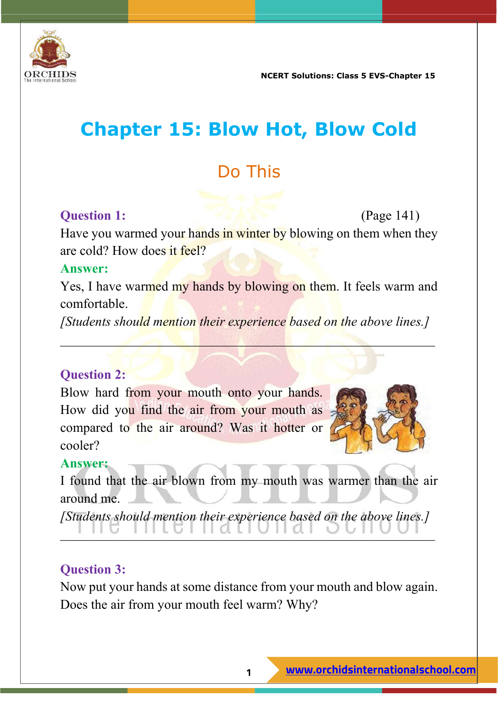

# **Chapter 15: Blow Hot, Blow Cold**

## Do This

#### **Question 1:** (Page 141)

Have you warmed your hands in winter by blowing on them when they are cold? How does it feel?

#### **Answer:**

Yes, I have warmed my hands by blowing on them. It feels warm and comfortable.

*[Students should mention their experience based on the above lines.]*

 $\mathcal{L}=\mathcal{L}=\mathcal{L}=\mathcal{L}=\mathcal{L}=\mathcal{L}=\mathcal{L}=\mathcal{L}=\mathcal{L}=\mathcal{L}=\mathcal{L}=\mathcal{L}=\mathcal{L}=\mathcal{L}=\mathcal{L}=\mathcal{L}=\mathcal{L}=\mathcal{L}=\mathcal{L}=\mathcal{L}=\mathcal{L}=\mathcal{L}=\mathcal{L}=\mathcal{L}=\mathcal{L}=\mathcal{L}=\mathcal{L}=\mathcal{L}=\mathcal{L}=\mathcal{L}=\mathcal{L}=\mathcal{L}=\mathcal{L}=\mathcal{L}=\mathcal{L}=\mathcal{L}=\mathcal{$ 

#### **Question 2:**

Blow hard from your mouth onto your hands. How did you find the air from your mouth as compared to the air around? Was it hotter or cooler?



#### **Answer:**

I found that the air blown from my mouth was warmer than the air around me.

*[Students should mention their experience based on the above lines.]* \_\_\_\_\_\_\_\_\_\_\_\_\_\_\_\_\_\_\_\_\_\_\_\_\_\_\_\_\_\_\_\_\_\_\_\_\_\_\_\_\_\_\_\_\_\_\_\_\_\_\_\_\_\_\_\_

### **Question 3:**

Now put your hands at some distance from your mouth and blow again. Does the air from your mouth feel warm? Why?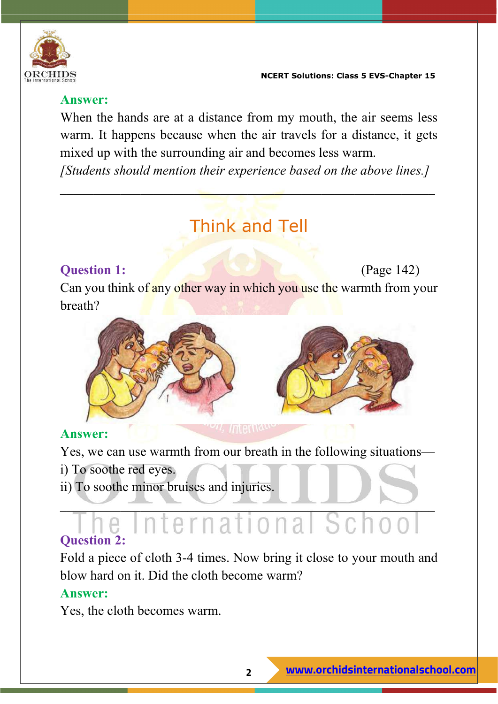

#### **Answer:**

When the hands are at a distance from my mouth, the air seems less warm. It happens because when the air travels for a distance, it gets mixed up with the surrounding air and becomes less warm.

*[Students should mention their experience based on the above lines.]*

 $\mathcal{L}_\text{max}$  and  $\mathcal{L}_\text{max}$  are the set of the set of the set of the set of the set of the set of the set of the set of the set of the set of the set of the set of the set of the set of the set of the set of the set o

# Think and Tell

### **Question 1:** (Page 142)

Can you think of any other way in which you use the warmth from your breath?



#### **Answer:**

Yes, we can use warmth from our breath in the following situations—

- i) To soothe red eyes.
- ii) To soothe minor bruises and injuries.

#### $\sim$   $\sim$   $\sim$   $\sim$   $\sim$   $\sim$   $\sim$ International School **Question 2:**

Fold a piece of cloth 3-4 times. Now bring it close to your mouth and blow hard on it. Did the cloth become warm?

#### **Answer:**

Yes, the cloth becomes warm.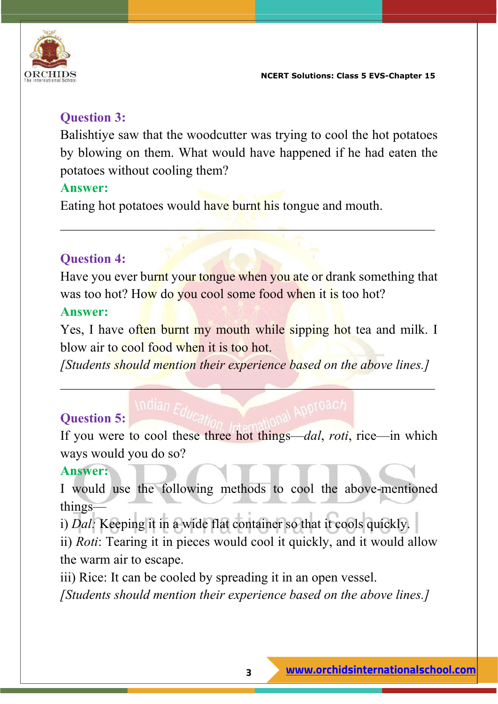

#### **Question 3:**

Balishtiye saw that the woodcutter was trying to cool the hot potatoes by blowing on them. What would have happened if he had eaten the potatoes without cooling them?

#### **Answer:**

Eating hot potatoes would have burnt his tongue and mouth.

### **Question 4:**

Have you ever burnt your tongue when you ate or drank something that was too hot? How do you cool some food when it is too hot?

 $\Box$  , and the state of  $\Box$  , and  $\Box$  , and  $\Box$  . The state of  $\Box$ 

#### **Answer:**

Yes, I have often burnt my mouth while sipping hot tea and milk. I blow air to cool food when it is too hot.

*[Students should mention their experience based on the above lines.]*

 $\mathcal{L} = \mathcal{L} \mathcal{L} \mathcal{L} \mathcal{L} \mathcal{L} \mathcal{L} \mathcal{L} \mathcal{L} \mathcal{L} \mathcal{L} \mathcal{L} \mathcal{L} \mathcal{L} \mathcal{L} \mathcal{L} \mathcal{L} \mathcal{L} \mathcal{L} \mathcal{L} \mathcal{L} \mathcal{L} \mathcal{L} \mathcal{L} \mathcal{L} \mathcal{L} \mathcal{L} \mathcal{L} \mathcal{L} \mathcal{L} \mathcal{L} \mathcal{L} \mathcal{L} \mathcal{L} \mathcal{L} \mathcal{L} \mathcal$ 

## **Question 5:**

If you were to cool these three hot things—*dal*, *roti*, rice—in which ways would you do so?

#### **Answer:**

I would use the following methods to cool the above-mentioned things—

i) *Dal:* Keeping it in a wide flat container so that it cools quickly.

ii) *Roti*: Tearing it in pieces would cool it quickly, and it would allow the warm air to escape.

iii) Rice: It can be cooled by spreading it in an open vessel.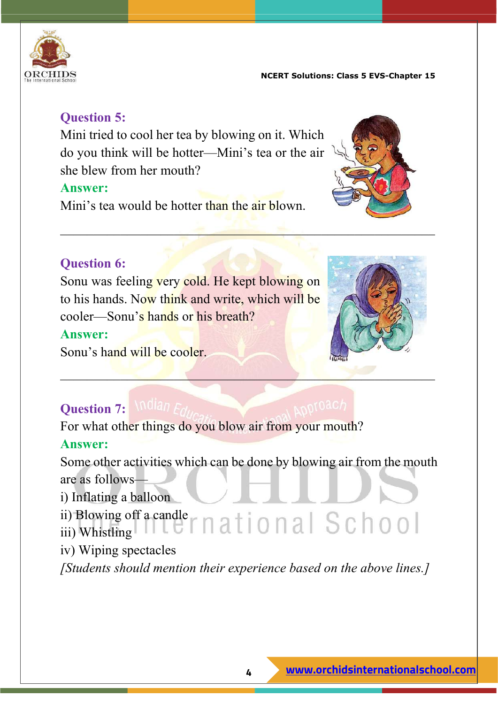

#### **Question 5:**

Mini tried to cool her tea by blowing on it. Which do you think will be hotter—Mini's tea or the air she blew from her mouth?

#### **Answer:**

Mini's tea would be hotter than the air blown.



### **Question 6:**

Sonu was feeling very cold. He kept blowing on to his hands. Now think and write, which will be cooler—Sonu's hands or his breath?

#### **Answer:**

Sonu's hand will be cooler.



## **Question 7: Millian**

For what other things do you blow air from your mouth? **Answer:**

Some other activities which can be done by blowing air from the mouth are as follows—

\_\_\_\_\_\_\_\_\_\_\_\_\_\_\_\_\_\_\_\_\_\_\_\_\_\_\_\_\_\_\_\_\_\_\_\_\_\_\_\_\_\_\_\_\_\_\_\_\_\_\_\_\_\_\_\_

i) Inflating a balloon

ii) Blowing off a candle

- iii) Whistling
- iv) Wiping spectacles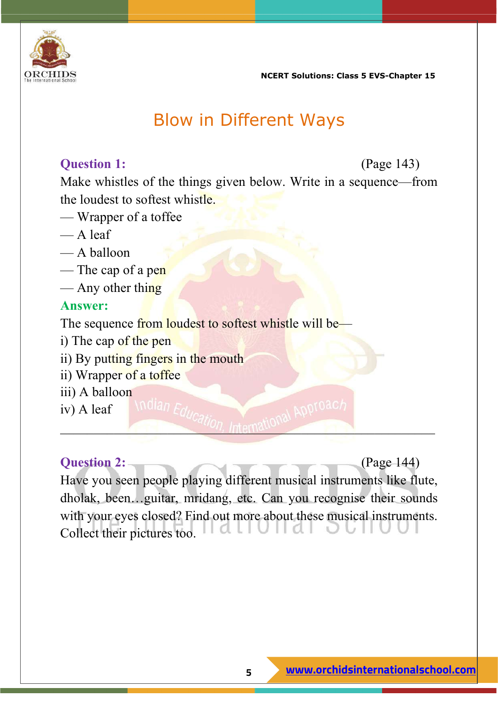

## Blow in Different Ways

#### **Question 1:** (Page 143)

Make whistles of the things given below. Write in a sequence—from the loudest to softest whistle.

- Wrapper of a toffee
- A leaf
- A balloon
- The cap of a pen
- $\overline{\phantom{a}}$  Any other thing

#### **Answer:**

The sequence from loudest to softest whistle will be—

- i) The cap of the pen
- ii) By putting fingers in the mouth
- ii) Wrapper of a toffee
- iii) A balloon

iv) A leaf

**Question 2:** (Page 144) Have you seen people playing different musical instruments like flute, dholak, been…guitar, mridang, etc. Can you recognise their sounds with your eyes closed? Find out more about these musical instruments. Collect their pictures too.l U II di

 $L_{100}$ , Internation.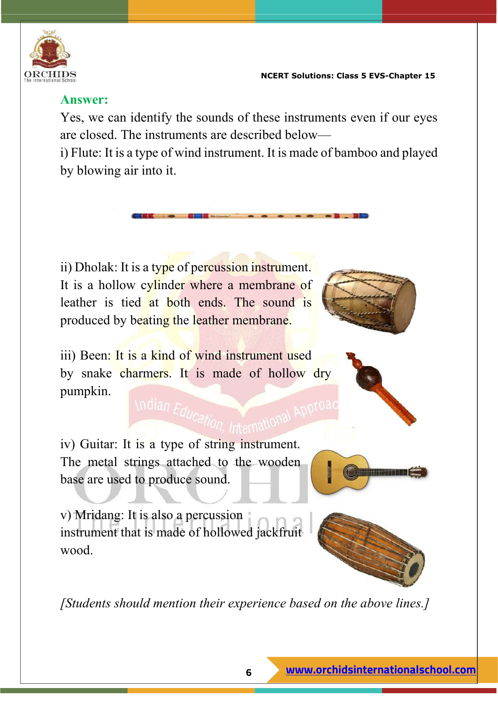

#### **Answer:**

Yes, we can identify the sounds of these instruments even if our eyes are closed. The instruments are described below—

i) Flute: It is a type of wind instrument. It is made of bamboo and played by blowing air into it.

ii) Dholak: It is a type of percussion instrument. It is a hollow cylinder where a membrane of leather is tied at both ends. The sound is produced by beating the leather membrane.



iii) Been: It is a kind of wind instrument used by snake charmers. It is made of hollow dry pumpkin. Indian Education

iv) Guitar: It is a type of string instrument. The metal strings attached to the wooden base are used to produce sound.

v) Mridang: It is also a percussion



<u> INTERNATIONAL PROPERTY</u>

instrument that is made of hollowed jackfruit wood.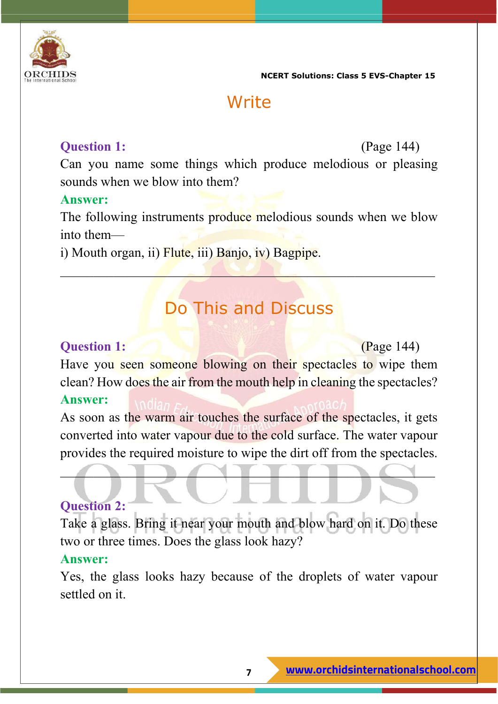

## **Write**

#### **Question 1:** (Page 144)

Can you name some things which produce melodious or pleasing sounds when we blow into them?

#### **Answer:**

The following instruments produce melodious sounds when we blow into them—

i) Mouth organ, ii) Flute, iii) Banjo, iv) Bagpipe.

## Do This and Discuss

 $\mathcal{L} = \mathcal{L} \mathcal{L} = \mathcal{L} \mathcal{L} = \mathcal{L} \mathcal{L}$ 

#### **Question 1: Constant Constant Constant Constant Constant Constant Constant Constant Constant Constant Constant Constant Constant Constant Constant Constant Constant Constant Constant Constant Constant Constant Constant**

Have you seen someone blowing on their spectacles to wipe them clean? How does the air from the mouth help in cleaning the spectacles?

#### **Answer:**

As soon as the warm air touches the surface of the spectacles, it gets converted into water vapour due to the cold surface. The water vapour provides the required moisture to wipe the dirt off from the spectacles.

 $\blacksquare$ 

#### **Question 2:**

Take a glass. Bring it near your mouth and blow hard on it. Do these two or three times. Does the glass look hazy?

#### **Answer:**

Yes, the glass looks hazy because of the droplets of water vapour settled on it.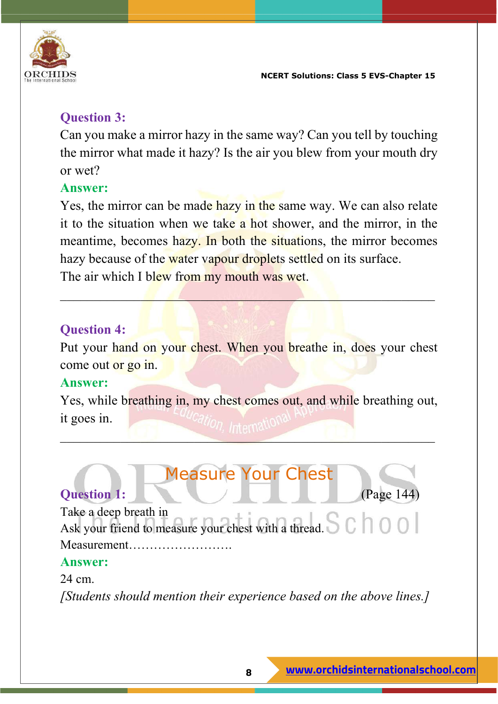

#### **Question 3:**

Can you make a mirror hazy in the same way? Can you tell by touching the mirror what made it hazy? Is the air you blew from your mouth dry or wet?

#### **Answer:**

Yes, the mirror can be made hazy in the same way. We can also relate it to the situation when we take a hot shower, and the mirror, in the meantime, becomes hazy. In both the situations, the mirror becomes hazy because of the water vapour droplets settled on its surface. The air which I blew from my mouth was wet.

 $\mathcal{L} = \mathcal{L} \mathcal{L}$  , where  $\mathcal{L} = \mathcal{L} \mathcal{L}$  , we have the  $\mathcal{L} = \mathcal{L} \mathcal{L}$ 

### **Question 4:**

Put your hand on your chest. When you breathe in, does your chest come out or go in.

#### **Answer:**

Yes, while breathing in, my chest comes out, and while breathing out, it goes in.

\_\_\_\_\_\_\_\_\_\_\_\_\_\_\_\_\_\_\_\_\_\_\_\_\_\_\_\_\_\_\_\_\_\_\_\_\_\_\_\_\_\_\_\_\_\_\_\_\_\_\_\_\_\_\_\_

# Measure Your Chest

## **Question 1:** (Page 144)

Take a deep breath in Take a deep breath in<br>Ask your friend to measure your chest with a thread. Measurement…………………….

#### **Answer:**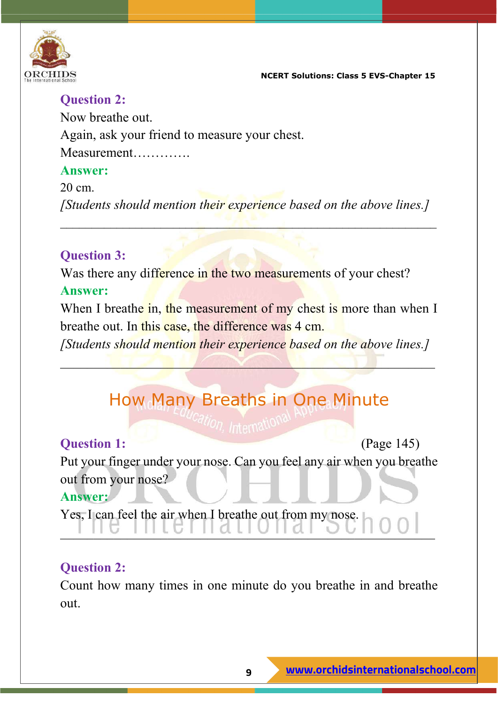

#### **Question 2:**

Now breathe out.

Again, ask your friend to measure your chest.

Measurement………….

#### **Answer:**

#### 20 cm.

*[Students should mention their experience based on the above lines.]*

 $\mathcal{L} = \{ \mathcal{L} \in \mathcal{L} \mid \mathcal{L} \in \mathcal{L} \}$  , where  $\mathcal{L} = \{ \mathcal{L} \}$  ,  $\mathcal{L} = \{ \mathcal{L} \}$ 

#### **Question 3:**

Was there any difference in the two measurements of your chest? **Answer:** 

When I breathe in, the measurement of my chest is more than when I breathe out. In this case, the difference was 4 cm.

*[Students should mention their experience based on the above lines.]*

 $\mathcal{L} = \{ \mathbf{I} \in \mathcal{L} \mid \mathcal{L} \neq \emptyset \}$ 

# How Many Breaths in One Minute

**Question 1:** (Page 145) Put your finger under your nose. Can you feel any air when you breathe out from your nose? **Answer:** 

 $\blacksquare$ 

Yes, I can feel the air when I breathe out from my nose.

#### **Question 2:**

Count how many times in one minute do you breathe in and breathe out.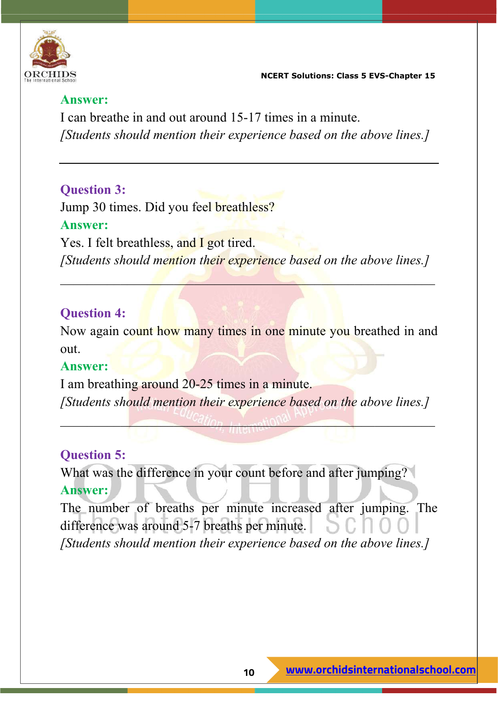

#### **Answer:**

I can breathe in and out around 15-17 times in a minute. *[Students should mention their experience based on the above lines.]*

#### **Question 3:**

Jump 30 times. Did you feel breathless? **Answer:**  Yes. I felt breathless, and I got tired. *[Students should mention their experience based on the above lines.]*

 $\mathcal{L}=\mathcal{L}$  and  $\mathcal{L}=\mathcal{L}$  and  $\mathcal{L}=\mathcal{L}$ 

#### **Question 4:**

Now again count how many times in one minute you breathed in and out.

#### **Answer:**

I am breathing around 20-25 times in a minute. *[Students should mention their experience based on the above lines.]*

 $\frac{u_{d}}{d}$ 

#### **Question 5:**

What was the difference in your count before and after jumping? **Answer:** 

The number of breaths per minute increased after jumping. The difference was around 5-7 breaths per minute. *[Students should mention their experience based on the above lines.]*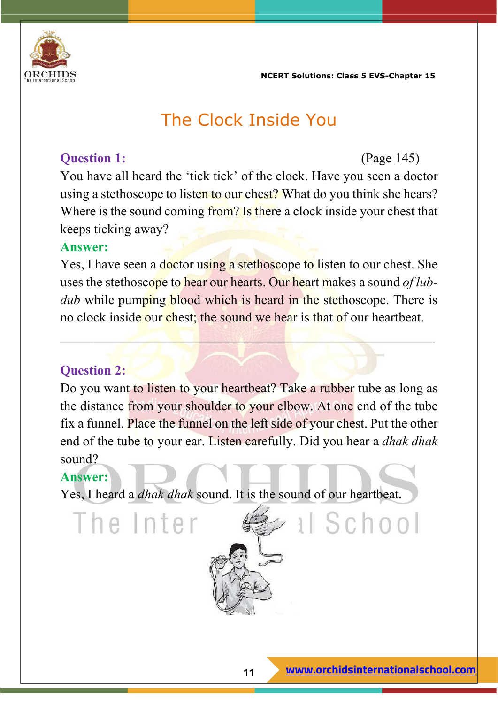

## The Clock Inside You

#### **Question 1:** (Page 145)

You have all heard the 'tick tick' of the clock. Have you seen a doctor using a stethoscope to listen to our chest? What do you think she hears? Where is the sound coming from? Is there a clock inside your chest that keeps ticking away?

#### **Answer:**

Yes, I have seen a doctor using a stethoscope to listen to our chest. She uses the stethoscope to hear our hearts. Our heart makes a sound *of lubdub* while pumping blood which is heard in the stethoscope. There is no clock inside our chest; the sound we hear is that of our heartbeat.

 $\mathcal{L}_\text{max} = \frac{1}{2} \sum_{i=1}^n \mathcal{L}_i^2 \left( \mathcal{L}_i^2 \right) \mathcal{L}_i^2 \left( \mathcal{L}_i^2 \right)$ 

#### **Question 2:**

Do you want to listen to your heartbeat? Take a rubber tube as long as the distance from your shoulder to your elbow. At one end of the tube fix a funnel. Place the funnel on the left side of your chest. Put the other end of the tube to your ear. Listen carefully. Did you hear a *dhak dhak* sound?

#### **Answer:**

The Inter

Yes, I heard a *dhak dhak* sound. It is the sound of our heartbeat.

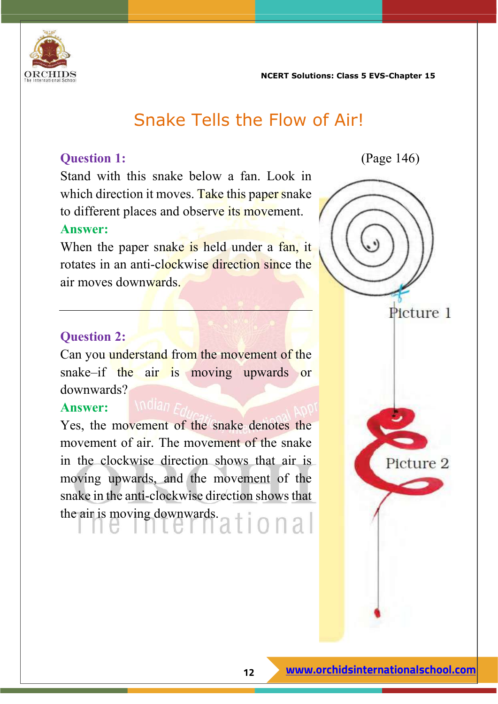

## Snake Tells the Flow of Air!

Stand with this snake below a fan. Look in which direction it moves. Take this paper snake to different places and observe its movement.

#### **Answer:**

When the paper snake is held under a fan, it rotates in an anti-clockwise direction since the air moves downwards.

#### **Question 2:**

Can you understand from the movement of the snake–if the air is moving upwards or downwards?

#### **Answer:**

Yes, the movement of the snake denotes the movement of air. The movement of the snake in the clockwise direction shows that air is moving upwards, and the movement of the snake in the anti-clockwise direction shows that the air is moving downwards.<br> $1002$